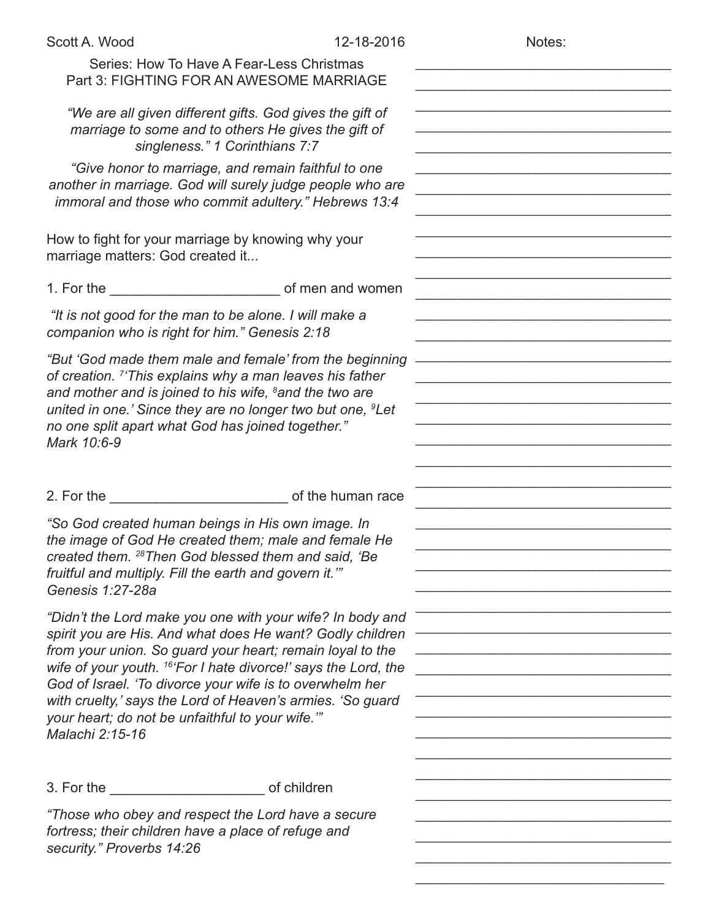| Scott A. Wood                                                                                                                                                                                                                                                                                                                                                                                                                                                    | 12-18-2016 | Notes:                                                                                                                                                                                         |
|------------------------------------------------------------------------------------------------------------------------------------------------------------------------------------------------------------------------------------------------------------------------------------------------------------------------------------------------------------------------------------------------------------------------------------------------------------------|------------|------------------------------------------------------------------------------------------------------------------------------------------------------------------------------------------------|
| Series: How To Have A Fear-Less Christmas<br>Part 3: FIGHTING FOR AN AWESOME MARRIAGE                                                                                                                                                                                                                                                                                                                                                                            |            |                                                                                                                                                                                                |
| "We are all given different gifts. God gives the gift of<br>marriage to some and to others He gives the gift of<br>singleness." 1 Corinthians 7:7                                                                                                                                                                                                                                                                                                                |            |                                                                                                                                                                                                |
| "Give honor to marriage, and remain faithful to one<br>another in marriage. God will surely judge people who are<br>immoral and those who commit adultery." Hebrews 13:4                                                                                                                                                                                                                                                                                         |            |                                                                                                                                                                                                |
| How to fight for your marriage by knowing why your<br>marriage matters: God created it                                                                                                                                                                                                                                                                                                                                                                           |            |                                                                                                                                                                                                |
|                                                                                                                                                                                                                                                                                                                                                                                                                                                                  |            |                                                                                                                                                                                                |
| "It is not good for the man to be alone. I will make a<br>companion who is right for him." Genesis 2:18                                                                                                                                                                                                                                                                                                                                                          |            |                                                                                                                                                                                                |
| "But 'God made them male and female' from the beginning<br>of creation. <sup>7</sup> 'This explains why a man leaves his father<br>and mother and is joined to his wife, <sup>8</sup> and the two are<br>united in one.' Since they are no longer two but one, <sup>9</sup> Let<br>no one split apart what God has joined together."<br>Mark 10:6-9                                                                                                              |            | <u> 1989 - Johann Stoff, deutscher Stoffen und der Stoffen und der Stoffen und der Stoffen und der Stoffen und der </u><br><u> 1989 - Johann Stein, mars an deus Amerikaansk kommunister (</u> |
|                                                                                                                                                                                                                                                                                                                                                                                                                                                                  |            |                                                                                                                                                                                                |
| "So God created human beings in His own image. In<br>the image of God He created them; male and female He<br>created them. <sup>28</sup> Then God blessed them and said, 'Be<br>fruitful and multiply. Fill the earth and govern it."<br>Genesis 1:27-28a                                                                                                                                                                                                        |            |                                                                                                                                                                                                |
| "Didn't the Lord make you one with your wife? In body and<br>spirit you are His. And what does He want? Godly children<br>from your union. So guard your heart; remain loyal to the<br>wife of your youth. <sup>16</sup> For I hate divorce!' says the Lord, the<br>God of Israel. 'To divorce your wife is to overwhelm her<br>with cruelty,' says the Lord of Heaven's armies. 'So guard<br>your heart; do not be unfaithful to your wife."<br>Malachi 2:15-16 |            | <u> 1989 - Johann Barbara, martxa alemaniar arg</u>                                                                                                                                            |
|                                                                                                                                                                                                                                                                                                                                                                                                                                                                  |            |                                                                                                                                                                                                |
| 3. For the contract of children                                                                                                                                                                                                                                                                                                                                                                                                                                  |            |                                                                                                                                                                                                |
| "Those who obey and respect the Lord have a secure<br>fortress; their children have a place of refuge and<br>security." Proverbs 14.26                                                                                                                                                                                                                                                                                                                           |            |                                                                                                                                                                                                |

\_\_\_\_\_\_\_\_\_\_\_\_\_\_\_\_\_\_\_\_\_\_\_\_\_\_\_\_\_\_\_\_\_\_\_